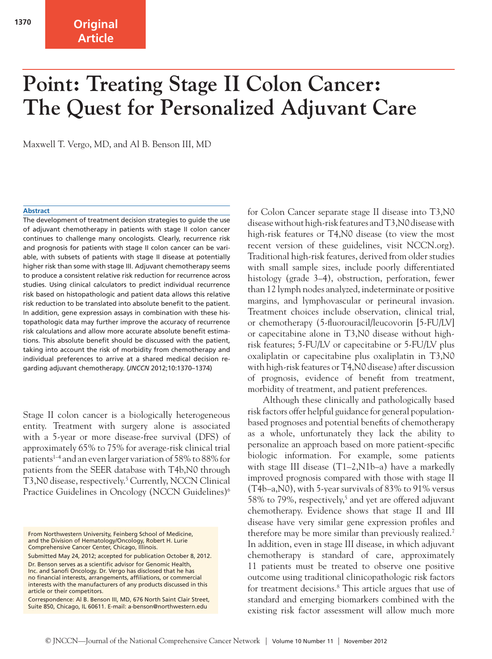## **Original Article**

# **Point: Treating Stage II Colon Cancer: The Quest for Personalized Adjuvant Care**

Maxwell T. Vergo, MD, and Al B. Benson III, MD

#### **Abstract**

The development of treatment decision strategies to guide the use of adjuvant chemotherapy in patients with stage II colon cancer continues to challenge many oncologists. Clearly, recurrence risk and prognosis for patients with stage II colon cancer can be variable, with subsets of patients with stage II disease at potentially higher risk than some with stage III. Adjuvant chemotherapy seems to produce a consistent relative risk reduction for recurrence across studies. Using clinical calculators to predict individual recurrence risk based on histopathologic and patient data allows this relative risk reduction to be translated into absolute benefit to the patient. In addition, gene expression assays in combination with these histopathologic data may further improve the accuracy of recurrence risk calculations and allow more accurate absolute benefit estimations. This absolute benefit should be discussed with the patient, taking into account the risk of morbidity from chemotherapy and individual preferences to arrive at a shared medical decision regarding adjuvant chemotherapy. (*JNCCN* 2012;10:1370–1374)

Stage II colon cancer is a biologically heterogeneous entity. Treatment with surgery alone is associated with a 5-year or more disease-free survival (DFS) of approximately 65% to 75% for average-risk clinical trial patients<sup>1-4</sup> and an even larger variation of 58% to 88% for patients from the SEER database with T4b,N0 through T3, N0 disease, respectively.<sup>5</sup> Currently, NCCN Clinical Practice Guidelines in Oncology (NCCN Guidelines)<sup>6</sup>

Submitted May 24, 2012; accepted for publication October 8, 2012. Dr. Benson serves as a scientific advisor for Genomic Health, Inc. and Sanofi Oncology. Dr. Vergo has disclosed that he has no financial interests, arrangements, affiliations, or commercial interests with the manufacturers of any products discussed in this article or their competitors.

Correspondence: Al B. Benson III, MD, 676 North Saint Clair Street, Suite 850, Chicago, IL 60611. E-mail: a-benson@northwestern.edu

for Colon Cancer separate stage II disease into T3,N0 disease without high-risk features and T3,N0 disease with high-risk features or T4,N0 disease (to view the most recent version of these guidelines, visit NCCN.org). Traditional high-risk features, derived from older studies with small sample sizes, include poorly differentiated histology (grade 3–4), obstruction, perforation, fewer than 12 lymph nodes analyzed, indeterminate or positive margins, and lymphovascular or perineural invasion. Treatment choices include observation, clinical trial, or chemotherapy (5-fluorouracil/leucovorin [5-FU/LV] or capecitabine alone in T3,N0 disease without highrisk features; 5-FU/LV or capecitabine or 5-FU/LV plus oxaliplatin or capecitabine plus oxaliplatin in T3,N0 with high-risk features or T4,N0 disease) after discussion of prognosis, evidence of benefit from treatment, morbidity of treatment, and patient preferences.

Although these clinically and pathologically based risk factors offer helpful guidance for general populationbased prognoses and potential benefits of chemotherapy as a whole, unfortunately they lack the ability to personalize an approach based on more patient-specific biologic information. For example, some patients with stage III disease (T1–2,N1b–a) have a markedly improved prognosis compared with those with stage II (T4b–a,N0), with 5-year survivals of 83% to 91% versus 58% to 79%, respectively,<sup>5</sup> and yet are offered adjuvant chemotherapy. Evidence shows that stage II and III disease have very similar gene expression profiles and therefore may be more similar than previously realized.7 In addition, even in stage III disease, in which adjuvant chemotherapy is standard of care, approximately 11 patients must be treated to observe one positive outcome using traditional clinicopathologic risk factors for treatment decisions.<sup>8</sup> This article argues that use of standard and emerging biomarkers combined with the existing risk factor assessment will allow much more

From Northwestern University, Feinberg School of Medicine, and the Division of Hematology/Oncology, Robert H. Lurie Comprehensive Cancer Center, Chicago, Illinois.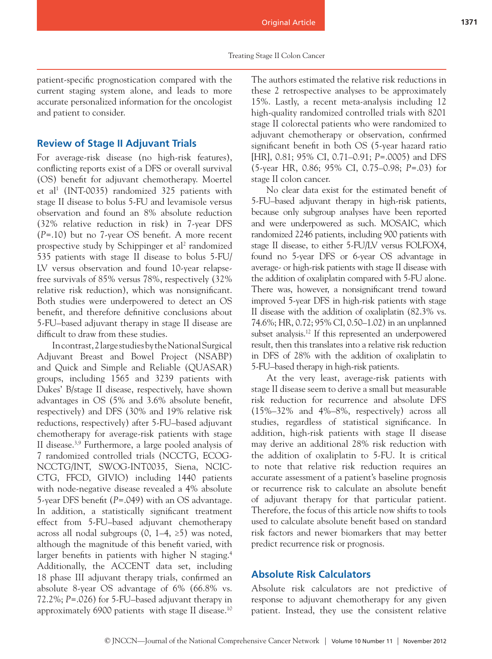patient-specific prognostication compared with the current staging system alone, and leads to more accurate personalized information for the oncologist and patient to consider.

#### **Review of Stage II Adjuvant Trials**

For average-risk disease (no high-risk features), conflicting reports exist of a DFS or overall survival (OS) benefit for adjuvant chemotherapy. Moertel et al<sup>1</sup> (INT-0035) randomized 325 patients with stage II disease to bolus 5-FU and levamisole versus observation and found an 8% absolute reduction (32% relative reduction in risk) in 7-year DFS (*P*=.10) but no 7-year OS benefit. A more recent prospective study by Schippinger et al<sup>2</sup> randomized 535 patients with stage II disease to bolus 5-FU/ LV versus observation and found 10-year relapsefree survivals of 85% versus 78%, respectively (32% relative risk reduction), which was nonsignificant. Both studies were underpowered to detect an OS benefit, and therefore definitive conclusions about 5-FU–based adjuvant therapy in stage II disease are difficult to draw from these studies.

In contrast, 2 large studies by the National Surgical Adjuvant Breast and Bowel Project (NSABP) and Quick and Simple and Reliable (QUASAR) groups, including 1565 and 3239 patients with Dukes' B/stage II disease, respectively, have shown advantages in OS (5% and 3.6% absolute benefit, respectively) and DFS (30% and 19% relative risk reductions, respectively) after 5-FU–based adjuvant chemotherapy for average-risk patients with stage II disease.3,9 Furthermore, a large pooled analysis of 7 randomized controlled trials (NCCTG, ECOG-NCCTG/INT, SWOG-INT0035, Siena, NCIC-CTG, FFCD, GIVIO) including 1440 patients with node-negative disease revealed a 4% absolute 5-year DFS benefit (*P*=.049) with an OS advantage. In addition, a statistically significant treatment effect from 5-FU–based adjuvant chemotherapy across all nodal subgroups  $(0, 1-4, \ge 5)$  was noted, although the magnitude of this benefit varied, with larger benefits in patients with higher N staging.<sup>4</sup> Additionally, the ACCENT data set, including 18 phase III adjuvant therapy trials, confirmed an absolute 8-year OS advantage of 6% (66.8% vs. 72.2%; *P*=.026) for 5-FU–based adjuvant therapy in approximately 6900 patients with stage II disease.10 The authors estimated the relative risk reductions in these 2 retrospective analyses to be approximately 15%. Lastly, a recent meta-analysis including 12 high-quality randomized controlled trials with 8201 stage II colorectal patients who were randomized to adjuvant chemotherapy or observation, confirmed significant benefit in both OS (5-year hazard ratio [HR], 0.81; 95% CI, 0.71–0.91; *P*=.0005) and DFS (5-year HR, 0.86; 95% CI, 0.75–0.98; *P*=.03) for stage II colon cancer.

No clear data exist for the estimated benefit of 5-FU–based adjuvant therapy in high-risk patients, because only subgroup analyses have been reported and were underpowered as such. MOSAIC, which randomized 2246 patients, including 900 patients with stage II disease, to either 5-FU/LV versus FOLFOX4, found no 5-year DFS or 6-year OS advantage in average- or high-risk patients with stage II disease with the addition of oxaliplatin compared with 5-FU alone. There was, however, a nonsignificant trend toward improved 5-year DFS in high-risk patients with stage II disease with the addition of oxaliplatin (82.3% vs. 74.6%; HR, 0.72; 95% CI, 0.50–1.02) in an unplanned subset analysis.<sup>12</sup> If this represented an underpowered result, then this translates into a relative risk reduction in DFS of 28% with the addition of oxaliplatin to 5-FU–based therapy in high-risk patients.

At the very least, average-risk patients with stage II disease seem to derive a small but measurable risk reduction for recurrence and absolute DFS (15%–32% and 4%–8%, respectively) across all studies, regardless of statistical significance. In addition, high-risk patients with stage II disease may derive an additional 28% risk reduction with the addition of oxaliplatin to 5-FU. It is critical to note that relative risk reduction requires an accurate assessment of a patient's baseline prognosis or recurrence risk to calculate an absolute benefit of adjuvant therapy for that particular patient. Therefore, the focus of this article now shifts to tools used to calculate absolute benefit based on standard risk factors and newer biomarkers that may better predict recurrence risk or prognosis.

## **Absolute Risk Calculators**

Absolute risk calculators are not predictive of response to adjuvant chemotherapy for any given patient. Instead, they use the consistent relative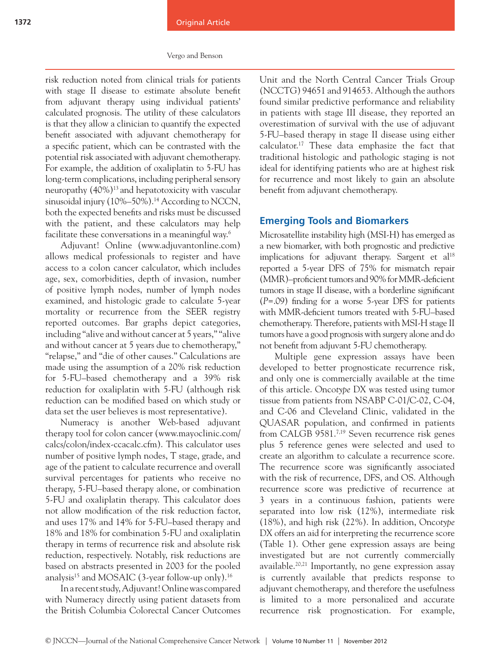risk reduction noted from clinical trials for patients with stage II disease to estimate absolute benefit from adjuvant therapy using individual patients' calculated prognosis. The utility of these calculators is that they allow a clinician to quantify the expected benefit associated with adjuvant chemotherapy for a specific patient, which can be contrasted with the potential risk associated with adjuvant chemotherapy. For example, the addition of oxaliplatin to 5-FU has long-term complications, including peripheral sensory neuropathy (40%)13 and hepatotoxicity with vascular sinusoidal injury (10%–50%).<sup>14</sup> According to NCCN, both the expected benefits and risks must be discussed with the patient, and these calculators may help facilitate these conversations in a meaningful way.6

Adjuvant! Online (www.adjuvantonline.com) allows medical professionals to register and have access to a colon cancer calculator, which includes age, sex, comorbidities, depth of invasion, number of positive lymph nodes, number of lymph nodes examined, and histologic grade to calculate 5-year mortality or recurrence from the SEER registry reported outcomes. Bar graphs depict categories, including "alive and without cancer at 5 years," "alive and without cancer at 5 years due to chemotherapy," "relapse," and "die of other causes." Calculations are made using the assumption of a 20% risk reduction for 5-FU–based chemotherapy and a 39% risk reduction for oxaliplatin with 5-FU (although risk reduction can be modified based on which study or data set the user believes is most representative).

Numeracy is another Web-based adjuvant therapy tool for colon cancer (www.mayoclinic.com/ calcs/colon/index-ccacalc.cfm). This calculator uses number of positive lymph nodes, T stage, grade, and age of the patient to calculate recurrence and overall survival percentages for patients who receive no therapy, 5-FU–based therapy alone, or combination 5-FU and oxaliplatin therapy. This calculator does not allow modification of the risk reduction factor, and uses 17% and 14% for 5-FU–based therapy and 18% and 18% for combination 5-FU and oxaliplatin therapy in terms of recurrence risk and absolute risk reduction, respectively. Notably, risk reductions are based on abstracts presented in 2003 for the pooled analysis<sup>15</sup> and MOSAIC (3-year follow-up only).<sup>16</sup>

In a recent study, Adjuvant! Online was compared with Numeracy directly using patient datasets from the British Columbia Colorectal Cancer Outcomes Unit and the North Central Cancer Trials Group (NCCTG) 94651 and 914653. Although the authors found similar predictive performance and reliability in patients with stage III disease, they reported an overestimation of survival with the use of adjuvant 5-FU–based therapy in stage II disease using either calculator.17 These data emphasize the fact that traditional histologic and pathologic staging is not ideal for identifying patients who are at highest risk for recurrence and most likely to gain an absolute benefit from adjuvant chemotherapy.

### **Emerging Tools and Biomarkers**

Microsatellite instability high (MSI-H) has emerged as a new biomarker, with both prognostic and predictive implications for adjuvant therapy. Sargent et  $al^{18}$ reported a 5-year DFS of 75% for mismatch repair (MMR)–proficient tumors and 90% for MMR-deficient tumors in stage II disease, with a borderline significant (*P*=.09) finding for a worse 5-year DFS for patients with MMR-deficient tumors treated with 5-FU–based chemotherapy. Therefore, patients with MSI-H stage II tumors have a good prognosis with surgery alone and do not benefit from adjuvant 5-FU chemotherapy.

Multiple gene expression assays have been developed to better prognosticate recurrence risk, and only one is commercially available at the time of this article. Onco*type* DX was tested using tumor tissue from patients from NSABP C-01/C-02, C-04, and C-06 and Cleveland Clinic, validated in the QUASAR population, and confirmed in patients from CALGB 9581.7,19 Seven recurrence risk genes plus 5 reference genes were selected and used to create an algorithm to calculate a recurrence score. The recurrence score was significantly associated with the risk of recurrence, DFS, and OS. Although recurrence score was predictive of recurrence at 3 years in a continuous fashion, patients were separated into low risk (12%), intermediate risk (18%), and high risk (22%). In addition, Onco*type* DX offers an aid for interpreting the recurrence score (Table 1). Other gene expression assays are being investigated but are not currently commercially available.20,21 Importantly, no gene expression assay is currently available that predicts response to adjuvant chemotherapy, and therefore the usefulness is limited to a more personalized and accurate recurrence risk prognostication. For example,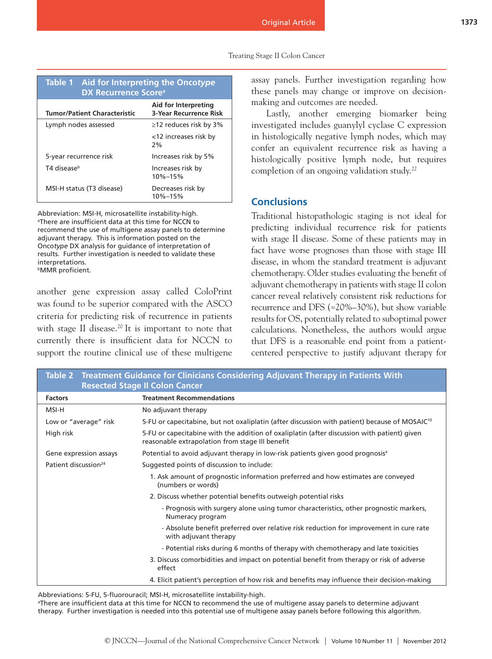#### Treating Stage II Colon Cancer

| Table 1 Aid for Interpreting the Oncotype<br>DX Recurrence Score <sup>a</sup> |                                                       |
|-------------------------------------------------------------------------------|-------------------------------------------------------|
| <b>Tumor/Patient Characteristic</b>                                           | Aid for Interpreting<br><b>3-Year Recurrence Risk</b> |
| Lymph nodes assessed                                                          | ≥12 reduces risk by 3%                                |
|                                                                               | <12 increases risk by<br>2%                           |
| 5-year recurrence risk                                                        | Increases risk by 5%                                  |
| T4 diseaseb                                                                   | Increases risk by<br>10%-15%                          |
| MSI-H status (T3 disease)                                                     | Decreases risk by<br>10%-15%                          |

Abbreviation: MSI-H, microsatellite instability-high. a There are insufficient data at this time for NCCN to recommend the use of multigene assay panels to determine adjuvant therapy. This is information posted on the Onco*type* DX analysis for guidance of interpretation of results. Further investigation is needed to validate these interpretations. **bMMR** proficient.

another gene expression assay called ColoPrint was found to be superior compared with the ASCO criteria for predicting risk of recurrence in patients with stage II disease.<sup>20</sup> It is important to note that currently there is insufficient data for NCCN to support the routine clinical use of these multigene

assay panels. Further investigation regarding how these panels may change or improve on decisionmaking and outcomes are needed.

Lastly, another emerging biomarker being investigated includes guanylyl cyclase C expression in histologically negative lymph nodes, which may confer an equivalent recurrence risk as having a histologically positive lymph node, but requires completion of an ongoing validation study.22

## **Conclusions**

Traditional histopathologic staging is not ideal for predicting individual recurrence risk for patients with stage II disease. Some of these patients may in fact have worse prognoses than those with stage III disease, in whom the standard treatment is adjuvant chemotherapy. Older studies evaluating the benefit of adjuvant chemotherapy in patients with stage II colon cancer reveal relatively consistent risk reductions for recurrence and DFS (≈20%–30%), but show variable results for OS, potentially related to suboptimal power calculations. Nonetheless, the authors would argue that DFS is a reasonable end point from a patientcentered perspective to justify adjuvant therapy for

| Treatment Guidance for Clinicians Considering Adjuvant Therapy in Patients With<br>Table 2<br><b>Resected Stage II Colon Cancer</b> |                                                                                                                                                |
|-------------------------------------------------------------------------------------------------------------------------------------|------------------------------------------------------------------------------------------------------------------------------------------------|
| <b>Factors</b>                                                                                                                      | <b>Treatment Recommendations</b>                                                                                                               |
| MSI-H                                                                                                                               | No adjuvant therapy                                                                                                                            |
| Low or "average" risk                                                                                                               | 5-FU or capecitabine, but not oxaliplatin (after discussion with patient) because of MOSAIC <sup>10</sup>                                      |
| High risk                                                                                                                           | 5-FU or capecitabine with the addition of oxaliplatin (after discussion with patient) given<br>reasonable extrapolation from stage III benefit |
| Gene expression assays                                                                                                              | Potential to avoid adjuvant therapy in low-risk patients given good prognosis <sup>a</sup>                                                     |
| Patient discussion <sup>24</sup>                                                                                                    | Suggested points of discussion to include:                                                                                                     |
|                                                                                                                                     | 1. Ask amount of prognostic information preferred and how estimates are conveyed<br>(numbers or words)                                         |
|                                                                                                                                     | 2. Discuss whether potential benefits outweigh potential risks                                                                                 |
|                                                                                                                                     | - Prognosis with surgery alone using tumor characteristics, other prognostic markers,<br>Numeracy program                                      |
|                                                                                                                                     | - Absolute benefit preferred over relative risk reduction for improvement in cure rate<br>with adjuvant therapy                                |
|                                                                                                                                     | - Potential risks during 6 months of therapy with chemotherapy and late toxicities                                                             |
|                                                                                                                                     | 3. Discuss comorbidities and impact on potential benefit from therapy or risk of adverse<br>effect                                             |
|                                                                                                                                     | 4. Elicit patient's perception of how risk and benefits may influence their decision-making                                                    |

Abbreviations: 5-FU, 5-fluorouracil; MSI-H, microsatellite instability-high. a There are insufficient data at this time for NCCN to recommend the use of multigene assay panels to determine adjuvant therapy. Further investigation is needed into this potential use of multigene assay panels before following this algorithm.